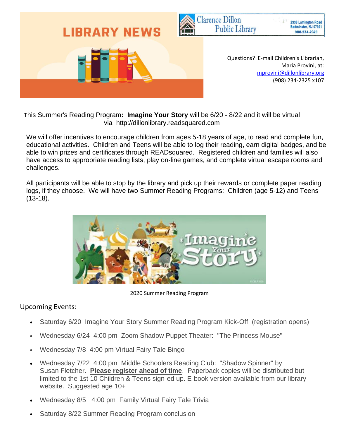

This Summer's Reading Program**: Imagine Your Story** will be 6/20 - 8/22 and it will be virtual via [http://dillonlibrary.readsquared.com](http://yourlibrary.readsquared.com/)

 We will offer incentives to encourage children from ages 5-18 years of age, to read and complete fun, educational activities. Children and Teens will be able to log their reading, earn digital badges, and be able to win prizes and certificates through READsquared. Registered children and families will also have access to appropriate reading lists, play on-line games, and complete virtual escape rooms and challenges.

 All participants will be able to stop by the library and pick up their rewards or complete paper reading logs, if they choose. We will have two Summer Reading Programs: Children (age 5-12) and Teens (13-18).



2020 Summer Reading Program

## Upcoming Events:

- Saturday 6/20 Imagine Your Story Summer Reading Program Kick-Off (registration opens)
- Wednesday 6/24 4:00 pm Zoom Shadow Puppet Theater: "The Princess Mouse"
- Wednesday 7/8 4:00 pm Virtual Fairy Tale Bingo
- Wednesday 7/22 4:00 pm Middle Schoolers Reading Club: "Shadow Spinner" by Susan Fletcher. **Please register ahead of time**. Paperback copies will be distributed but limited to the 1st 10 Children & Teens sign-ed up. E-book version available from our library website. Suggested age 10+
- Wednesday 8/5 4:00 pm Family Virtual Fairy Tale Trivia
- Saturday 8/22 Summer Reading Program conclusion